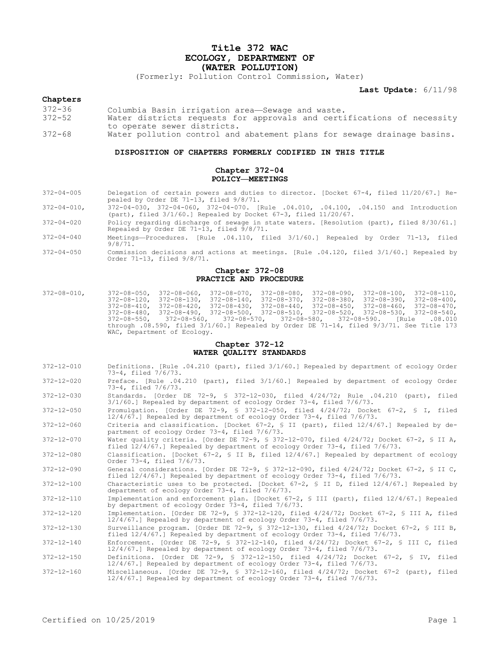# **Title 372 WAC ECOLOGY, DEPARTMENT OF (WATER POLLUTION)**

(Formerly: Pollution Control Commission, Water)

**Last Update:** 6/11/98

# **Chapters**

- 372-36 Columbia Basin irrigation area—Sewage and waste.
- Water districts requests for approvals and certifications of necessity to operate sewer districts.
- 372-68 Water pollution control and abatement plans for sewage drainage basins.

## **DISPOSITION OF CHAPTERS FORMERLY CODIFIED IN THIS TITLE**

# **Chapter 372-04 POLICY—MEETINGS**

- 372-04-005 Delegation of certain powers and duties to director. [Docket 67-4, filed 11/20/67.] Repealed by Order DE 71-13, filed 9/8/71.
- 372-04-010, 372-04-030, 372-04-060, 372-04-070. [Rule .04.010, .04.100, .04.150 and Introduction (part), filed 3/1/60.] Repealed by Docket 67-3, filed 11/20/67.
- 372-04-020 Policy regarding discharge of sewage in state waters. [Resolution (part), filed 8/30/61.] Repealed by Order DE 71-13, filed  $9/8/71$ .
- 372-04-040 Meetings—Procedures. [Rule .04.110, filed 3/1/60.] Repealed by Order 71-13, filed  $9/8/71.$
- 372-04-050 Commission decisions and actions at meetings. [Rule .04.120, filed 3/1/60.] Repealed by Order 71-13, filed 9/8/71.

### **Chapter 372-08 PRACTICE AND PROCEDURE**

372-08-010, 372-08-050, 372-08-060, 372-08-070, 372-08-080, 372-08-090, 372-08-100, 372-08-110, 372-08-120, 372-08-130, 372-08-140, 372-08-370, 372-08-380, 372-08-390, 372-08-400, 372-08-410, 372-08-420, 372-08-430, 372-08-440, 372-08-450, 372-08-460, 372-08-470, 372-08-480, 372-08-490, 372-08-500, 372-08-510, 372-08-520, 372-08-530, 372-08-540, 372-08-550, 372-08-560, 372-08-570, 372-08-580, 372-08-590. [Rule .08.010 through .08.590, filed 3/1/60.] Repealed by Order DE 71-14, filed 9/3/71. See Title 173 WAC, Department of Ecology.

## **Chapter 372-12 WATER QUALITY STANDARDS**

- 372-12-010 Definitions. [Rule .04.210 (part), filed 3/1/60.] Repealed by department of ecology Order 73-4, filed 7/6/73.
- 372-12-020 Preface. [Rule .04.210 (part), filed 3/1/60.] Repealed by department of ecology Order 73-4, filed 7/6/73.
- 372-12-030 Standards. [Order DE 72-9, § 372-12-030, filed 4/24/72; Rule .04.210 (part), filed 3/1/60.] Repealed by department of ecology Order 73-4, filed 7/6/73.
- 372-12-050 Promulgation. [Order DE 72-9, § 372-12-050, filed 4/24/72; Docket 67-2, § I, filed 12/4/67.] Repealed by department of ecology Order 73-4, filed 7/6/73.
- 372-12-060 Criteria and classification. [Docket 67-2, § II (part), filed 12/4/67.] Repealed by department of ecology Order 73-4, filed 7/6/73.
- 372-12-070 Water quality criteria. [Order DE 72-9, § 372-12-070, filed 4/24/72; Docket 67-2, § II A, filed 12/4/67.] Repealed by department of ecology Order 73-4, filed 7/6/73.
- 372-12-080 Classification. [Docket 67-2, § II B, filed 12/4/67.] Repealed by department of ecology Order 73-4, filed 7/6/73.
- 372-12-090 General considerations. [Order DE 72-9, § 372-12-090, filed 4/24/72; Docket 67-2, § II C, filed 12/4/67.] Repealed by department of ecology Order 73-4, filed 7/6/73.
- 372-12-100 Characteristic uses to be protected. [Docket 67-2, § II D, filed 12/4/67.] Repealed by department of ecology Order 73-4, filed 7/6/73.
- 372-12-110 Implementation and enforcement plan. [Docket 67-2, § III (part), filed 12/4/67.] Repealed by department of ecology Order 73-4, filed 7/6/73.
- 372-12-120 Implementation. [Order DE 72-9, § 372-12-120, filed 4/24/72; Docket 67-2, § III A, filed 12/4/67.] Repealed by department of ecology Order 73-4, filed 7/6/73.
- 372-12-130 Surveillance program. [Order DE 72-9, § 372-12-130, filed 4/24/72; Docket 67-2, § III B, filed 12/4/67.] Repealed by department of ecology Order 73-4, filed 7/6/73.
- 372-12-140 Enforcement. [Order DE 72-9, § 372-12-140, filed 4/24/72; Docket 67-2, § III C, filed 12/4/67.] Repealed by department of ecology Order 73-4, filed 7/6/73.
- 372-12-150 Definitions. [Order DE 72-9, § 372-12-150, filed 4/24/72; Docket 67-2, § IV, filed 12/4/67.] Repealed by department of ecology Order 73-4, filed 7/6/73.
- 372-12-160 Miscellaneous. [Order DE 72-9, § 372-12-160, filed 4/24/72; Docket 67-2 (part), filed 12/4/67.] Repealed by department of ecology Order 73-4, filed 7/6/73.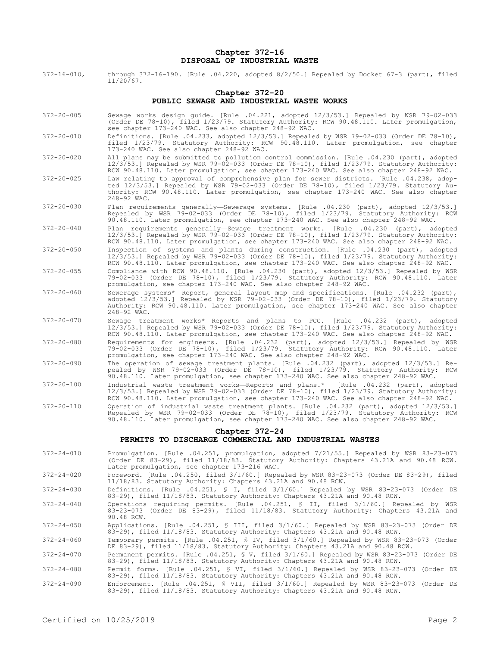## **Chapter 372-16 DISPOSAL OF INDUSTRIAL WASTE**

372-16-010, through 372-16-190. [Rule .04.220, adopted 8/2/50.] Repealed by Docket 67-3 (part), filed 11/20/67.

# **Chapter 372-20 PUBLIC SEWAGE AND INDUSTRIAL WASTE WORKS**

- 372-20-005 Sewage works design guide. [Rule .04.221, adopted 12/3/53.] Repealed by WSR 79-02-033 (Order DE 78-10), filed 1/23/79. Statutory Authority: RCW 90.48.110. Later promulgation, see chapter 173-240 WAC. See also chapter 248-92 WAC.
- 372-20-010 Definitions. [Rule .04.233, adopted 12/3/53.] Repealed by WSR 79-02-033 (Order DE 78-10), filed 1/23/79. Statutory Authority: RCW 90.48.110. Later promulgation, see chapter 173-240 WAC. See also chapter 248-92 WAC.

372-20-020 All plans may be submitted to pollution control commission. [Rule .04.230 (part), adopted 12/3/53.] Repealed by WSR 79-02-033 (Order DE 78-10), filed 1/23/79. Statutory Authority: RCW 90.48.110. Later promulgation, see chapter 173-240 WAC. See also chapter 248-92 WAC.

- 372-20-025 Law relating to approval of comprehensive plan for sewer districts. [Rule .04.238, adopted 12/3/53.] Repealed by WSR 79-02-033 (Order DE 78-10), filed 1/23/79. Statutory Authority: RCW 90.48.110. Later promulgation, see chapter 173-240 WAC. See also chapter 248-92 WAC.
- 372-20-030 Plan requirements generally—Sewerage systems. [Rule .04.230 (part), adopted 12/3/53.] Repealed by WSR 79-02-033 (Order DE 78-10), filed 1/23/79. Statutory Authority: RCW 90.48.110. Later promulgation, see chapter 173-240 WAC. See also chapter 248-92 WAC.
- 372-20-040 Plan requirements generally—Sewage treatment works. [Rule .04.230 (part), adopted 12/3/53.] Repealed by WSR 79-02-033 (Order DE 78-10), filed 1/23/79. Statutory Authority: RCW 90.48.110. Later promulgation, see chapter 173-240 WAC. See also chapter 248-92 WAC.
- 372-20-050 Inspection of systems and plants during construction. [Rule .04.230 (part), adopted 12/3/53.] Repealed by WSR 79-02-033 (Order DE 78-10), filed 1/23/79. Statutory Authority: RCW 90.48.110. Later promulgation, see chapter 173-240 WAC. See also chapter 248-92 WAC.
- 372-20-055 Compliance with RCW 90.48.110. [Rule .04.230 (part), adopted 12/3/53.] Repealed by WSR 79-02-033 (Order DE 78-10), filed 1/23/79. Statutory Authority: RCW 90.48.110. Later promulgation, see chapter 173-240 WAC. See also chapter 248-92 WAC.
- 372-20-060 Sewerage systems\*—Report, general layout map and specifications. [Rule .04.232 (part), adopted 12/3/53.] Repealed by WSR 79-02-033 (Order DE 78-10), filed 1/23/79. Statutory Authority: RCW 90.48.110. Later promulgation, see chapter 173-240 WAC. See also chapter 248-92 WAC.
- 372-20-070 Sewage treatment works\*—Reports and plans to PCC. [Rule .04.232 (part), adopted 12/3/53.] Repealed by WSR 79-02-033 (Order DE 78-10), filed 1/23/79. Statutory Authority: RCW 90.48.110. Later promulgation, see chapter 173-240 WAC. See also chapter 248-92 WAC.
- 372-20-080 Requirements for engineers. [Rule .04.232 (part), adopted 12/3/53.] Repealed by WSR 79-02-033 (Order DE 78-10), filed 1/23/79. Statutory Authority: RCW 90.48.110. Later promulgation, see chapter 173-240 WAC. See also chapter 248-92 WAC.
- 372-20-090 The operation of sewage treatment plants. [Rule .04.232 (part), adopted 12/3/53.] Repealed by WSR 79-02-033 (Order DE 78-10), filed 1/23/79. Statutory Authority: RCW 90.48.110. Later promulgation, see chapter 173-240 WAC. See also chapter 248-92 WAC.
- 372-20-100 Industrial waste treatment works—Reports and plans.\* [Rule .04.232 (part), adopted 12/3/53.] Repealed by WSR 79-02-033 (Order DE 78-10), filed 1/23/79. Statutory Authority: RCW 90.48.110. Later promulgation, see chapter 173-240 WAC. See also chapter 248-92 WAC.
- 372-20-110 Operation of industrial waste treatment plants. [Rule .04.232 (part), adopted 12/3/53.] Repealed by WSR 79-02-033 (Order DE 78-10), filed 1/23/79. Statutory Authority: RCW 90.48.110. Later promulgation, see chapter 173-240 WAC. See also chapter 248-92 WAC.

#### **Chapter 372-24**

# **PERMITS TO DISCHARGE COMMERCIAL AND INDUSTRIAL WASTES**

372-24-010 Promulgation. [Rule .04.251, promulgation, adopted 7/21/55.] Repealed by WSR 83-23-073 (Order DE 83-29), filed 11/18/83. Statutory Authority: Chapters 43.21A and 90.48 RCW. Later promulgation, see chapter 173-216 WAC.

372-24-020 Foreword. [Rule .04.250, filed 3/1/60.] Repealed by WSR 83-23-073 (Order DE 83-29), filed 11/18/83. Statutory Authority: Chapters 43.21A and 90.48 RCW.

- 372-24-030 Definitions. [Rule .04.251, § I, filed 3/1/60.] Repealed by WSR 83-23-073 (Order DE 83-29), filed 11/18/83. Statutory Authority: Chapters 43.21A and 90.48 RCW.
- 372-24-040 Operations requiring permits. [Rule .04.251, § II, filed 3/1/60.] Repealed by WSR 83-23-073 (Order DE 83-29), filed 11/18/83. Statutory Authority: Chapters 43.21A and 90.48 RCW.
- 372-24-050 Applications. [Rule .04.251, § III, filed 3/1/60.] Repealed by WSR 83-23-073 (Order DE 83-29), filed 11/18/83. Statutory Authority: Chapters 43.21A and 90.48 RCW.
- 372-24-060 Temporary permits. [Rule .04.251, § IV, filed 3/1/60.] Repealed by WSR 83-23-073 (Order DE 83-29), filed 11/18/83. Statutory Authority: Chapters 43.21A and 90.48 RCW.

372-24-070 Permanent permits. [Rule .04.251, § V, filed 3/1/60.] Repealed by WSR 83-23-073 (Order DE 83-29), filed 11/18/83. Statutory Authority: Chapters 43.21A and 90.48 RCW.

- 372-24-080 Permit forms. [Rule .04.251, § VI, filed 3/1/60.] Repealed by WSR 83-23-073 (Order DE 83-29), filed 11/18/83. Statutory Authority: Chapters 43.21A and 90.48 RCW.
- 372-24-090 Enforcement. [Rule .04.251, § VII, filed 3/1/60.] Repealed by WSR 83-23-073 (Order DE 83-29), filed 11/18/83. Statutory Authority: Chapters 43.21A and 90.48 RCW.